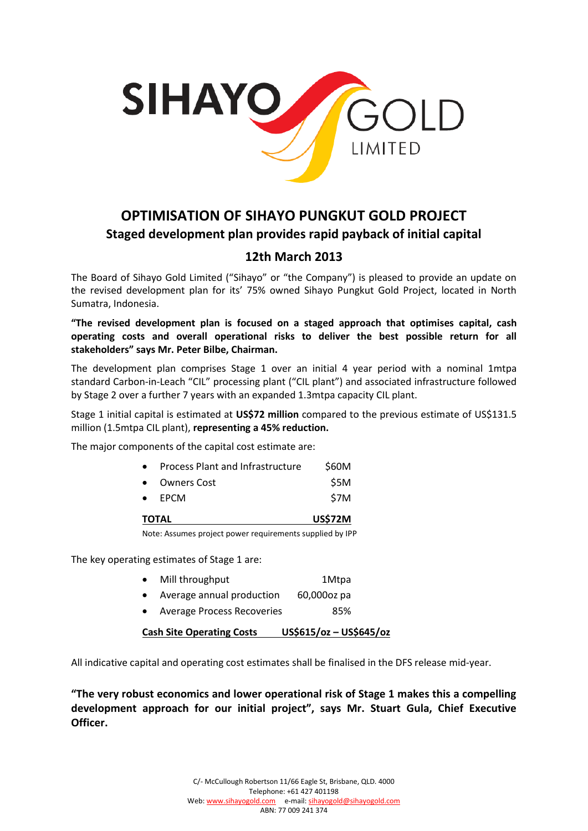

# **OPTIMISATION OF SIHAYO PUNGKUT GOLD PROJECT Staged development plan provides rapid payback of initial capital**

# **12th March 2013**

The Board of Sihayo Gold Limited ("Sihayo" or "the Company") is pleased to provide an update on the revised development plan for its' 75% owned Sihayo Pungkut Gold Project, located in North Sumatra, Indonesia.

**"The revised development plan is focused on a staged approach that optimises capital, cash operating costs and overall operational risks to deliver the best possible return for all stakeholders" says Mr. Peter Bilbe, Chairman.**

The development plan comprises Stage 1 over an initial 4 year period with a nominal 1mtpa standard Carbon-in-Leach "CIL" processing plant ("CIL plant") and associated infrastructure followed by Stage 2 over a further 7 years with an expanded 1.3mtpa capacity CIL plant.

Stage 1 initial capital is estimated at **US\$72 million** compared to the previous estimate of US\$131.5 million (1.5mtpa CIL plant), **representing a 45% reduction.**

The major components of the capital cost estimate are:

|              | Note: Assumes project power requirements supplied by IPP |                |
|--------------|----------------------------------------------------------|----------------|
| <b>TOTAL</b> |                                                          | <b>US\$72M</b> |
|              | $\bullet$ EPCM                                           | \$7M           |
| $\bullet$    | <b>Owners Cost</b>                                       | \$5M           |
| $\bullet$    | Process Plant and Infrastructure                         | \$60M          |

The key operating estimates of Stage 1 are:

| Mill throughput           | 1Mtpa       |
|---------------------------|-------------|
| Average annual production | 60,000oz pa |

• Average Process Recoveries 85%

**Cash Site Operating Costs US\$615/oz – US\$645/oz**

All indicative capital and operating cost estimates shall be finalised in the DFS release mid-year.

**"The very robust economics and lower operational risk of Stage 1 makes this a compelling development approach for our initial project", says Mr. Stuart Gula, Chief Executive Officer.**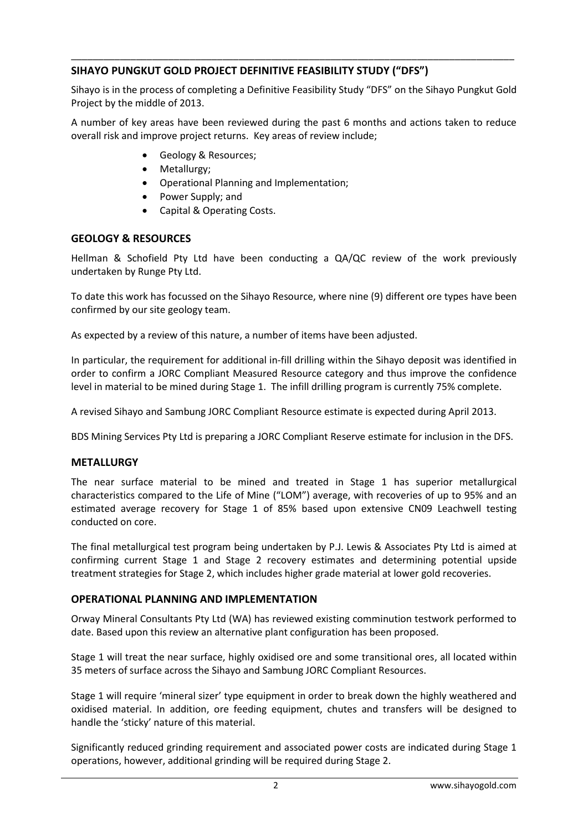# **SIHAYO PUNGKUT GOLD PROJECT DEFINITIVE FEASIBILITY STUDY ("DFS")**

Sihayo is in the process of completing a Definitive Feasibility Study "DFS" on the Sihayo Pungkut Gold Project by the middle of 2013.

\_\_\_\_\_\_\_\_\_\_\_\_\_\_\_\_\_\_\_\_\_\_\_\_\_\_\_\_\_\_\_\_\_\_\_\_\_\_\_\_\_\_\_\_\_\_\_\_\_\_\_\_\_\_\_\_\_\_\_\_\_\_\_\_\_\_\_\_\_\_\_\_\_\_\_\_\_\_\_\_\_\_

A number of key areas have been reviewed during the past 6 months and actions taken to reduce overall risk and improve project returns. Key areas of review include;

- Geology & Resources;
- Metallurgy;
- Operational Planning and Implementation;
- Power Supply; and
- Capital & Operating Costs.

#### **GEOLOGY & RESOURCES**

Hellman & Schofield Pty Ltd have been conducting a QA/QC review of the work previously undertaken by Runge Pty Ltd.

To date this work has focussed on the Sihayo Resource, where nine (9) different ore types have been confirmed by our site geology team.

As expected by a review of this nature, a number of items have been adjusted.

In particular, the requirement for additional in-fill drilling within the Sihayo deposit was identified in order to confirm a JORC Compliant Measured Resource category and thus improve the confidence level in material to be mined during Stage 1. The infill drilling program is currently 75% complete.

A revised Sihayo and Sambung JORC Compliant Resource estimate is expected during April 2013.

BDS Mining Services Pty Ltd is preparing a JORC Compliant Reserve estimate for inclusion in the DFS.

#### **METALLURGY**

The near surface material to be mined and treated in Stage 1 has superior metallurgical characteristics compared to the Life of Mine ("LOM") average, with recoveries of up to 95% and an estimated average recovery for Stage 1 of 85% based upon extensive CN09 Leachwell testing conducted on core.

The final metallurgical test program being undertaken by P.J. Lewis & Associates Pty Ltd is aimed at confirming current Stage 1 and Stage 2 recovery estimates and determining potential upside treatment strategies for Stage 2, which includes higher grade material at lower gold recoveries.

#### **OPERATIONAL PLANNING AND IMPLEMENTATION**

Orway Mineral Consultants Pty Ltd (WA) has reviewed existing comminution testwork performed to date. Based upon this review an alternative plant configuration has been proposed.

Stage 1 will treat the near surface, highly oxidised ore and some transitional ores, all located within 35 meters of surface across the Sihayo and Sambung JORC Compliant Resources.

Stage 1 will require 'mineral sizer' type equipment in order to break down the highly weathered and oxidised material. In addition, ore feeding equipment, chutes and transfers will be designed to handle the 'sticky' nature of this material.

Significantly reduced grinding requirement and associated power costs are indicated during Stage 1 operations, however, additional grinding will be required during Stage 2.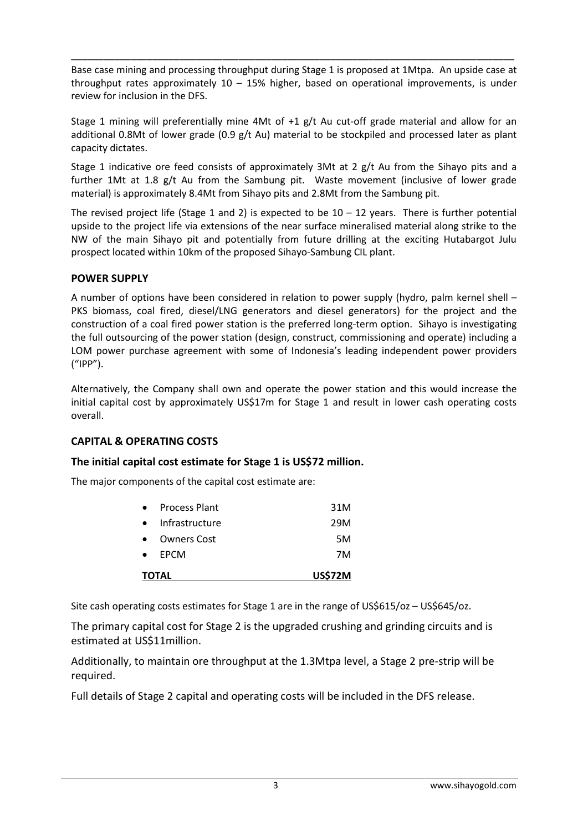Base case mining and processing throughput during Stage 1 is proposed at 1Mtpa. An upside case at throughput rates approximately  $10 - 15\%$  higher, based on operational improvements, is under review for inclusion in the DFS.

\_\_\_\_\_\_\_\_\_\_\_\_\_\_\_\_\_\_\_\_\_\_\_\_\_\_\_\_\_\_\_\_\_\_\_\_\_\_\_\_\_\_\_\_\_\_\_\_\_\_\_\_\_\_\_\_\_\_\_\_\_\_\_\_\_\_\_\_\_\_\_\_\_\_\_\_\_\_\_\_\_\_

Stage 1 mining will preferentially mine 4Mt of +1 g/t Au cut-off grade material and allow for an additional 0.8Mt of lower grade (0.9 g/t Au) material to be stockpiled and processed later as plant capacity dictates.

Stage 1 indicative ore feed consists of approximately 3Mt at 2 g/t Au from the Sihayo pits and a further 1Mt at 1.8 g/t Au from the Sambung pit. Waste movement (inclusive of lower grade material) is approximately 8.4Mt from Sihayo pits and 2.8Mt from the Sambung pit.

The revised project life (Stage 1 and 2) is expected to be  $10 - 12$  years. There is further potential upside to the project life via extensions of the near surface mineralised material along strike to the NW of the main Sihayo pit and potentially from future drilling at the exciting Hutabargot Julu prospect located within 10km of the proposed Sihayo-Sambung CIL plant.

# **POWER SUPPLY**

A number of options have been considered in relation to power supply (hydro, palm kernel shell – PKS biomass, coal fired, diesel/LNG generators and diesel generators) for the project and the construction of a coal fired power station is the preferred long-term option. Sihayo is investigating the full outsourcing of the power station (design, construct, commissioning and operate) including a LOM power purchase agreement with some of Indonesia's leading independent power providers ("IPP").

Alternatively, the Company shall own and operate the power station and this would increase the initial capital cost by approximately US\$17m for Stage 1 and result in lower cash operating costs overall.

# **CAPITAL & OPERATING COSTS**

# **The initial capital cost estimate for Stage 1 is US\$72 million.**

The major components of the capital cost estimate are:

| 29M<br>5M<br>7M |
|-----------------|
|                 |
|                 |
|                 |
| 31M             |
|                 |

Site cash operating costs estimates for Stage 1 are in the range of US\$615/oz – US\$645/oz.

The primary capital cost for Stage 2 is the upgraded crushing and grinding circuits and is estimated at US\$11million.

Additionally, to maintain ore throughput at the 1.3Mtpa level, a Stage 2 pre-strip will be required.

Full details of Stage 2 capital and operating costs will be included in the DFS release.